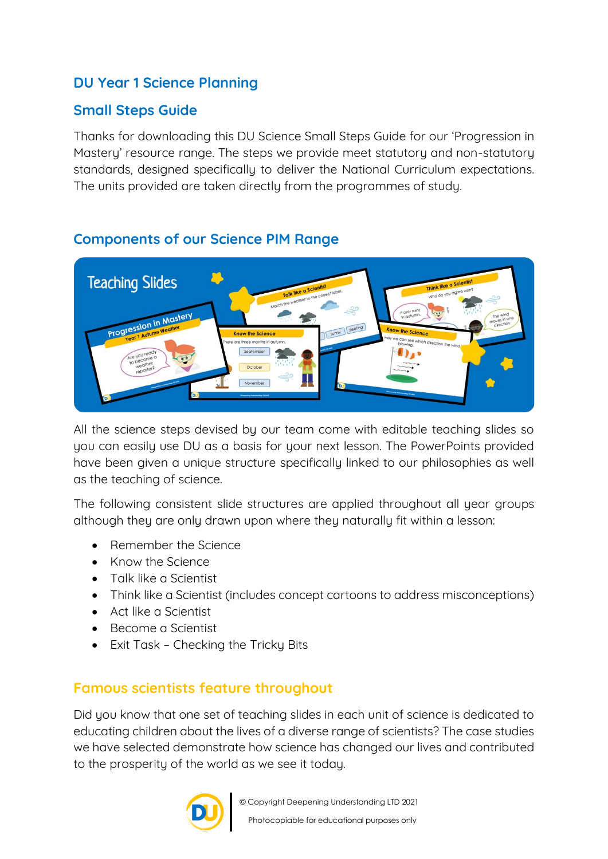## **DU Year 1 Science Planning**

### **Small Steps Guide**

**Thanks for downloading this DU Science Small Steps Guide for our 'Progression in Mastery' resource range. The steps we provide meet statutory and non-statutory standards, designed specifically to deliver the National Curriculum expectations. The units provided are taken directly from the programmes of study.** 



### **Components of our Science PIM Range**

**All the science steps devised by our team come with editable teaching slides so you can easily use DU as a basis for your next lesson. The PowerPoints provided have been given a unique structure specifically linked to our philosophies as well as the teaching of science.** 

**The following consistent slide structures are applied throughout all year groups although they are only drawn upon where they naturally fit within a lesson:** 

- **Remember the Science**
- **Know the Science**
- **Talk like a Scientist**
- **Think like a Scientist (includes concept cartoons to address misconceptions)**
- **Act like a Scientist**
- **Become a Scientist**
- **Exit Task – Checking the Tricky Bits**

## **Famous scientists feature throughout**

**Did you know that one set of teaching slides in each unit of science is dedicated to educating children about the lives of a diverse range of scientists? The case studies we have selected demonstrate how science has changed our lives and contributed to the prosperity of the world as we see it today.** 

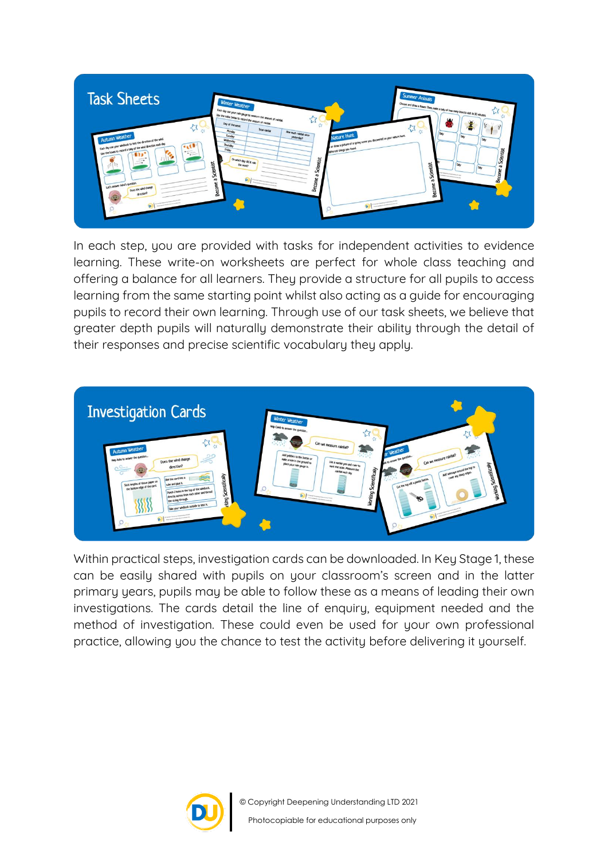

**In each step, you are provided with tasks for independent activities to evidence learning. These write-on worksheets are perfect for whole class teaching and offering a balance for all learners. They provide a structure for all pupils to access learning from the same starting point whilst also acting as a guide for encouraging pupils to record their own learning. Through use of our task sheets, we believe that greater depth pupils will naturally demonstrate their ability through the detail of their responses and precise scientific vocabulary they apply.**



**Within practical steps, investigation cards can be downloaded. In Key Stage 1, these can be easily shared with pupils on your classroom's screen and in the latter primary years, pupils may be able to follow these as a means of leading their own investigations. The cards detail the line of enquiry, equipment needed and the method of investigation. These could even be used for your own professional practice, allowing you the chance to test the activity before delivering it yourself.** 

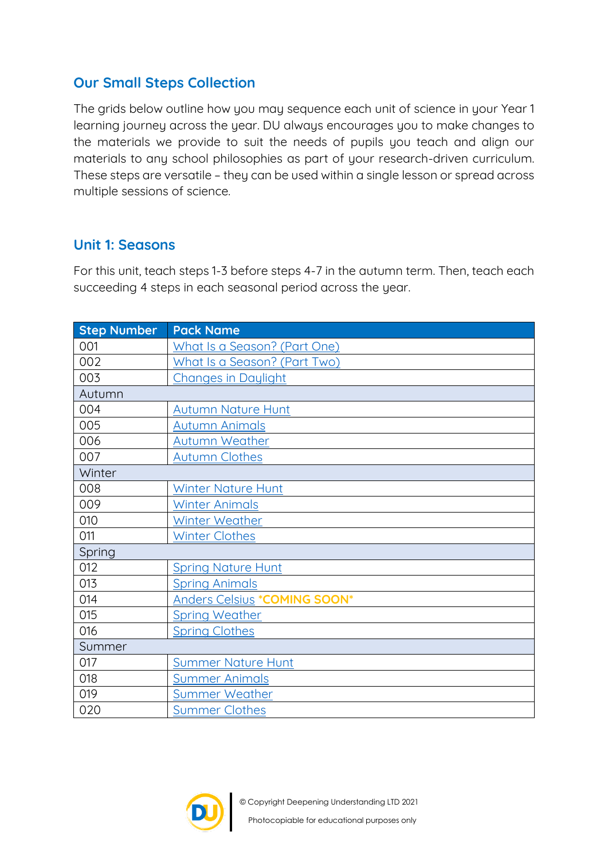## **Our Small Steps Collection**

**The grids below outline how you may sequence each unit of science in your Year 1 learning journey across the year. DU always encourages you to make changes to the materials we provide to suit the needs of pupils you teach and align our materials to any school philosophies as part of your research-driven curriculum. These steps are versatile – they can be used within a single lesson or spread across multiple sessions of science.**

#### **Unit 1: Seasons**

**For this unit, teach steps 1-3 before steps 4-7 in the autumn term. Then, teach each succeeding 4 steps in each seasonal period across the year.** 

| <b>Step Number</b> | <b>Pack Name</b>                    |
|--------------------|-------------------------------------|
| 001                | What Is a Season? (Part One)        |
| 002                | What Is a Season? (Part Two)        |
| 003                | <b>Changes in Daylight</b>          |
| Autumn             |                                     |
| 004                | <b>Autumn Nature Hunt</b>           |
| 005                | <b>Autumn Animals</b>               |
| 006                | <b>Autumn Weather</b>               |
| 007                | <b>Autumn Clothes</b>               |
| Winter             |                                     |
| 008                | <b>Winter Nature Hunt</b>           |
| 009                | <b>Winter Animals</b>               |
| 010                | <b>Winter Weather</b>               |
| 011                | <b>Winter Clothes</b>               |
| Spring             |                                     |
| 012                | <b>Spring Nature Hunt</b>           |
| 013                | <b>Spring Animals</b>               |
| 014                | <b>Anders Celsius *COMING SOON*</b> |
| 015                | <b>Spring Weather</b>               |
| 016                | <b>Spring Clothes</b>               |
| Summer             |                                     |
| 017                | <b>Summer Nature Hunt</b>           |
| 018                | <b>Summer Animals</b>               |
| 019                | Summer Weather                      |
| 020                | <b>Summer Clothes</b>               |

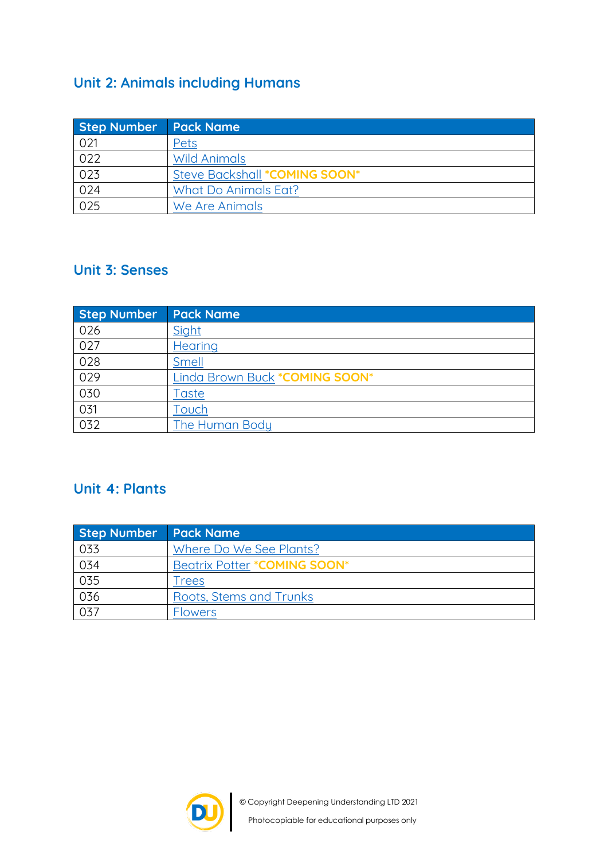# **Unit 2: Animals including Humans**

| <b>Step Number</b> | <b>Pack Name</b>              |
|--------------------|-------------------------------|
| 021                | Pets                          |
| 022                | <b>Wild Animals</b>           |
| 023                | Steve Backshall *COMING SOON* |
| 024                | What Do Animals Eat?          |
| 025                | We Are Animals                |

#### **Unit 3: Senses**

| <b>Step Number</b> | <b>Pack Name</b>               |
|--------------------|--------------------------------|
| 026                | Sight                          |
| 027                | <b>Hearing</b>                 |
| 028                | Smell                          |
| 029                | Linda Brown Buck *COMING SOON* |
| 030                | <b>Taste</b>                   |
| 031                | Touch                          |
| 032                | The Human Body                 |

## **Unit 4: Plants**

| Step Number Pack Name |                              |
|-----------------------|------------------------------|
| 033                   | Where Do We See Plants?      |
| 034                   | Beatrix Potter *COMING SOON* |
| 035                   | Trees                        |
| 036                   | Roots, Stems and Trunks      |
| 037                   | <b>Flowers</b>               |